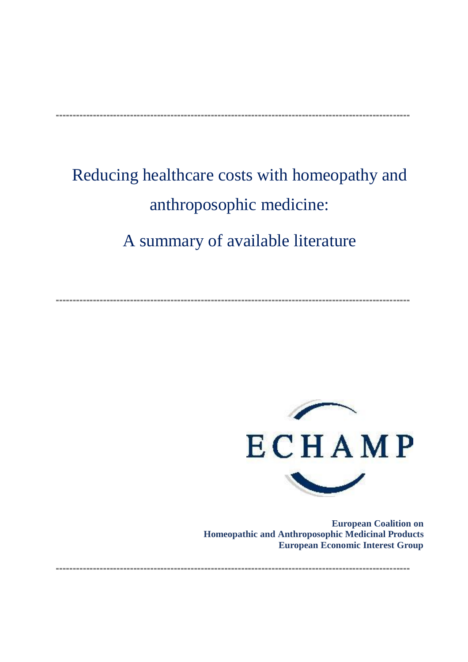# **---------------------------------------------------------------------------------------------------------**

# Reducing healthcare costs with homeopathy and anthroposophic medicine: A summary of available literature

**---------------------------------------------------------------------------------------------------------**



**European Coalition on Homeopathic and Anthroposophic Medicinal Products European Economic Interest Group**

**---------------------------------------------------------------------------------------------------------**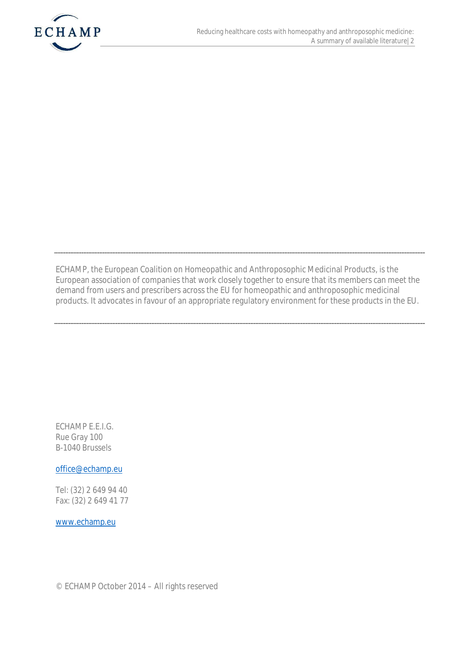

ECHAMP, the European Coalition on Homeopathic and Anthroposophic Medicinal Products, is the European association of companies that work closely together to ensure that its members can meet the demand from users and prescribers across the EU for homeopathic and anthroposophic medicinal products. It advocates in favour of an appropriate regulatory environment for these products in the EU.

ECHAMP E.E.I.G. Rue Gray 100 B-1040 Brussels

office@echamp.eu

Tel: (32) 2 649 94 40 Fax: (32) 2 649 41 77

www.echamp.eu

© ECHAMP October 2014 – All rights reserved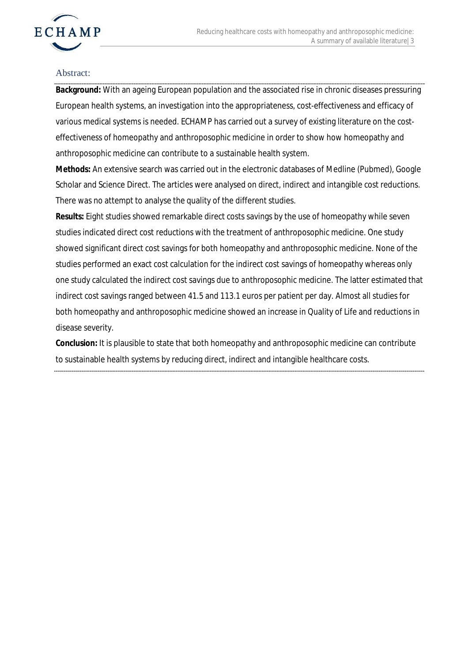

#### Abstract:

**Background:** With an ageing European population and the associated rise in chronic diseases pressuring European health systems, an investigation into the appropriateness, cost-effectiveness and efficacy of various medical systems is needed. ECHAMP has carried out a survey of existing literature on the costeffectiveness of homeopathy and anthroposophic medicine in order to show how homeopathy and anthroposophic medicine can contribute to a sustainable health system.

**Methods:** An extensive search was carried out in the electronic databases of Medline (Pubmed), Google Scholar and Science Direct. The articles were analysed on direct, indirect and intangible cost reductions. There was no attempt to analyse the quality of the different studies.

**Results:** Eight studies showed remarkable direct costs savings by the use of homeopathy while seven studies indicated direct cost reductions with the treatment of anthroposophic medicine. One study showed significant direct cost savings for both homeopathy and anthroposophic medicine. None of the studies performed an exact cost calculation for the indirect cost savings of homeopathy whereas only one study calculated the indirect cost savings due to anthroposophic medicine. The latter estimated that indirect cost savings ranged between 41.5 and 113.1 euros per patient per day. Almost all studies for both homeopathy and anthroposophic medicine showed an increase in Quality of Life and reductions in disease severity.

**Conclusion:** It is plausible to state that both homeopathy and anthroposophic medicine can contribute to sustainable health systems by reducing direct, indirect and intangible healthcare costs.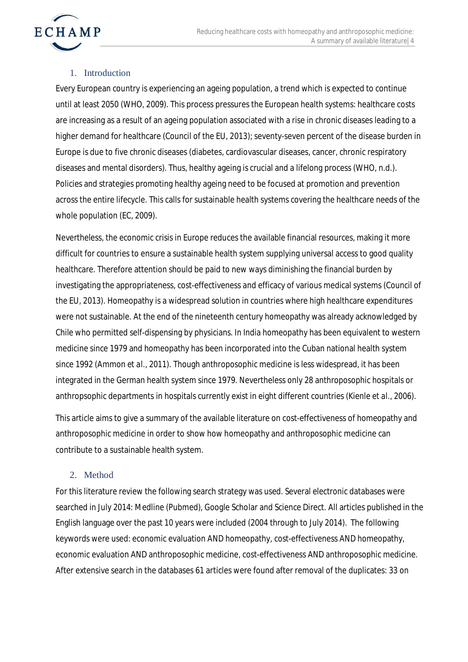

### 1. Introduction

Every European country is experiencing an ageing population, a trend which is expected to continue until at least 2050 (WHO, 2009). This process pressures the European health systems: healthcare costs are increasing as a result of an ageing population associated with a rise in chronic diseases leading to a higher demand for healthcare (Council of the EU, 2013); seventy-seven percent of the disease burden in Europe is due to five chronic diseases (diabetes, cardiovascular diseases, cancer, chronic respiratory diseases and mental disorders). Thus, healthy ageing is crucial and a lifelong process (WHO, n.d.). Policies and strategies promoting healthy ageing need to be focused at promotion and prevention across the entire lifecycle. This calls for sustainable health systems covering the healthcare needs of the whole population (EC, 2009).

Nevertheless, the economic crisis in Europe reduces the available financial resources, making it more difficult for countries to ensure a sustainable health system supplying universal access to good quality healthcare. Therefore attention should be paid to new ways diminishing the financial burden by investigating the appropriateness, cost-effectiveness and efficacy of various medical systems (Council of the EU, 2013). Homeopathy is a widespread solution in countries where high healthcare expenditures were not sustainable. At the end of the nineteenth century homeopathy was already acknowledged by Chile who permitted self-dispensing by physicians. In India homeopathy has been equivalent to western medicine since 1979 and homeopathy has been incorporated into the Cuban national health system since 1992 (Ammon *et al*., 2011). Though anthroposophic medicine is less widespread, it has been integrated in the German health system since 1979. Nevertheless only 28 anthroposophic hospitals or anthropsophic departments in hospitals currently exist in eight different countries (Kienle *et al*., 2006).

This article aims to give a summary of the available literature on cost-effectiveness of homeopathy and anthroposophic medicine in order to show how homeopathy and anthroposophic medicine can contribute to a sustainable health system.

# 2. Method

For this literature review the following search strategy was used. Several electronic databases were searched in July 2014: Medline (Pubmed), Google Scholar and Science Direct. All articles published in the English language over the past 10 years were included (2004 through to July 2014). The following keywords were used: economic evaluation AND homeopathy, cost-effectiveness AND homeopathy, economic evaluation AND anthroposophic medicine, cost-effectiveness AND anthroposophic medicine. After extensive search in the databases 61 articles were found after removal of the duplicates: 33 on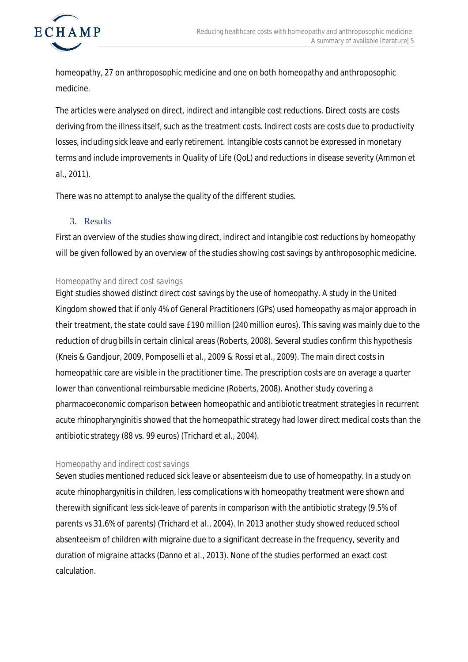

homeopathy, 27 on anthroposophic medicine and one on both homeopathy and anthroposophic medicine.

The articles were analysed on direct, indirect and intangible cost reductions. Direct costs are costs deriving from the illness itself, such as the treatment costs. Indirect costs are costs due to productivity losses, including sick leave and early retirement. Intangible costs cannot be expressed in monetary terms and include improvements in Quality of Life (QoL) and reductions in disease severity (Ammon *et al.*, 2011).

There was no attempt to analyse the quality of the different studies.

3. Results

First an overview of the studies showing direct, indirect and intangible cost reductions by homeopathy will be given followed by an overview of the studies showing cost savings by anthroposophic medicine.

# *Homeopathy and direct cost savings*

Eight studies showed distinct direct cost savings by the use of homeopathy. A study in the United Kingdom showed that if only 4% of General Practitioners (GPs) used homeopathy as major approach in their treatment, the state could save £190 million (240 million euros). This saving was mainly due to the reduction of drug bills in certain clinical areas (Roberts, 2008). Several studies confirm this hypothesis (Kneis & Gandjour, 2009, Pomposelli *et al.*, 2009 & Rossi *et al*., 2009). The main direct costs in homeopathic care are visible in the practitioner time. The prescription costs are on average a quarter lower than conventional reimbursable medicine (Roberts, 2008). Another study covering a pharmacoeconomic comparison between homeopathic and antibiotic treatment strategies in recurrent acute rhinopharynginitis showed that the homeopathic strategy had lower direct medical costs than the antibiotic strategy (88 vs. 99 euros) (Trichard *et al.,* 2004).

# *Homeopathy and indirect cost savings*

Seven studies mentioned reduced sick leave or absenteeism due to use of homeopathy. In a study on acute rhinophargynitis in children, less complications with homeopathy treatment were shown and therewith significant less sick-leave of parents in comparison with the antibiotic strategy (9.5% of parents vs 31.6% of parents) (Trichard *et al.,* 2004). In 2013 another study showed reduced school absenteeism of children with migraine due to a significant decrease in the frequency, severity and duration of migraine attacks (Danno *et al*., 2013). None of the studies performed an exact cost calculation.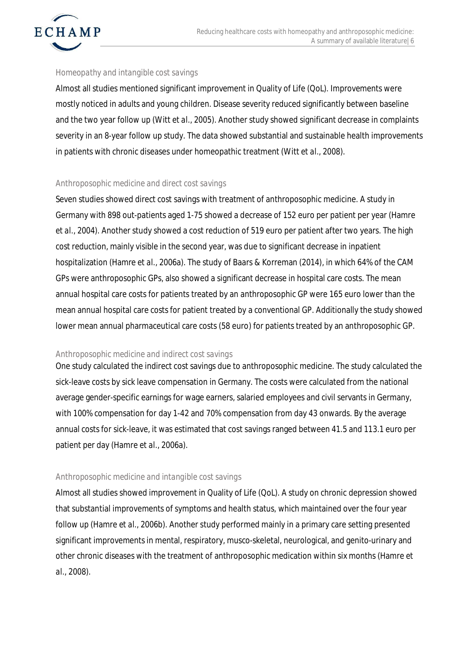

#### *Homeopathy and intangible cost savings*

Almost all studies mentioned significant improvement in Quality of Life (QoL). Improvements were mostly noticed in adults and young children. Disease severity reduced significantly between baseline and the two year follow up (Witt *et al.*, 2005). Another study showed significant decrease in complaints severity in an 8-year follow up study. The data showed substantial and sustainable health improvements in patients with chronic diseases under homeopathic treatment (Witt *et al.*, 2008).

#### *Anthroposophic medicine and direct cost savings*

Seven studies showed direct cost savings with treatment of anthroposophic medicine. A study in Germany with 898 out-patients aged 1-75 showed a decrease of 152 euro per patient per year (Hamre *et al.,* 2004). Another study showed a cost reduction of 519 euro per patient after two years. The high cost reduction, mainly visible in the second year, was due to significant decrease in inpatient hospitalization (Hamre *et al*., 2006a). The study of Baars & Korreman (2014), in which 64% of the CAM GPs were anthroposophic GPs, also showed a significant decrease in hospital care costs. The mean annual hospital care costs for patients treated by an anthroposophic GP were 165 euro lower than the mean annual hospital care costs for patient treated by a conventional GP. Additionally the study showed lower mean annual pharmaceutical care costs (58 euro) for patients treated by an anthroposophic GP.

#### *Anthroposophic medicine and indirect cost savings*

One study calculated the indirect cost savings due to anthroposophic medicine. The study calculated the sick-leave costs by sick leave compensation in Germany. The costs were calculated from the national average gender-specific earnings for wage earners, salaried employees and civil servants in Germany, with 100% compensation for day 1-42 and 70% compensation from day 43 onwards. By the average annual costs for sick-leave, it was estimated that cost savings ranged between 41.5 and 113.1 euro per patient per day (Hamre *et al.,* 2006a).

# *Anthroposophic medicine and intangible cost savings*

Almost all studies showed improvement in Quality of Life (QoL). A study on chronic depression showed that substantial improvements of symptoms and health status, which maintained over the four year follow up (Hamre *et al*., 2006b). Another study performed mainly in a primary care setting presented significant improvements in mental, respiratory, musco-skeletal, neurological, and genito-urinary and other chronic diseases with the treatment of anthroposophic medication within six months (Hamre *et al.*, 2008).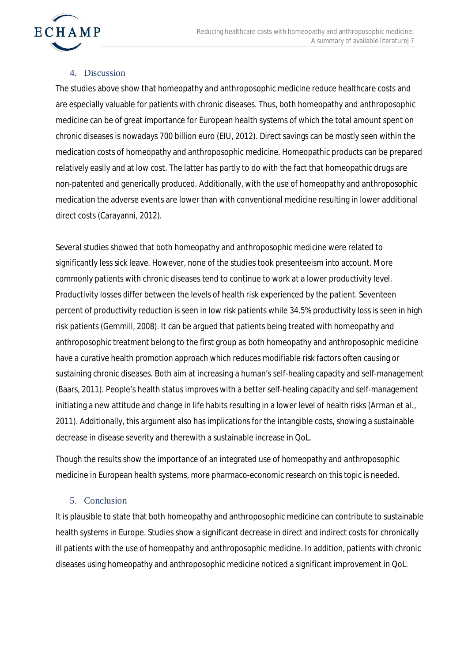

#### 4. Discussion

The studies above show that homeopathy and anthroposophic medicine reduce healthcare costs and are especially valuable for patients with chronic diseases. Thus, both homeopathy and anthroposophic medicine can be of great importance for European health systems of which the total amount spent on chronic diseases is nowadays 700 billion euro (EIU, 2012). Direct savings can be mostly seen within the medication costs of homeopathy and anthroposophic medicine. Homeopathic products can be prepared relatively easily and at low cost. The latter has partly to do with the fact that homeopathic drugs are non-patented and generically produced. Additionally, with the use of homeopathy and anthroposophic medication the adverse events are lower than with conventional medicine resulting in lower additional direct costs (Carayanni, 2012).

Several studies showed that both homeopathy and anthroposophic medicine were related to significantly less sick leave. However, none of the studies took presenteeism into account. More commonly patients with chronic diseases tend to continue to work at a lower productivity level. Productivity losses differ between the levels of health risk experienced by the patient. Seventeen percent of productivity reduction is seen in low risk patients while 34.5% productivity loss is seen in high risk patients (Gemmill, 2008). It can be argued that patients being treated with homeopathy and anthroposophic treatment belong to the first group as both homeopathy and anthroposophic medicine have a curative health promotion approach which reduces modifiable risk factors often causing or sustaining chronic diseases. Both aim at increasing a human's self-healing capacity and self-management (Baars, 2011). People's health status improves with a better self-healing capacity and self-management initiating a new attitude and change in life habits resulting in a lower level of health risks (Arman *et al.,* 2011). Additionally, this argument also has implications for the intangible costs, showing a sustainable decrease in disease severity and therewith a sustainable increase in QoL.

Though the results show the importance of an integrated use of homeopathy and anthroposophic medicine in European health systems, more pharmaco-economic research on this topic is needed.

# 5. Conclusion

It is plausible to state that both homeopathy and anthroposophic medicine can contribute to sustainable health systems in Europe. Studies show a significant decrease in direct and indirect costs for chronically ill patients with the use of homeopathy and anthroposophic medicine. In addition, patients with chronic diseases using homeopathy and anthroposophic medicine noticed a significant improvement in QoL.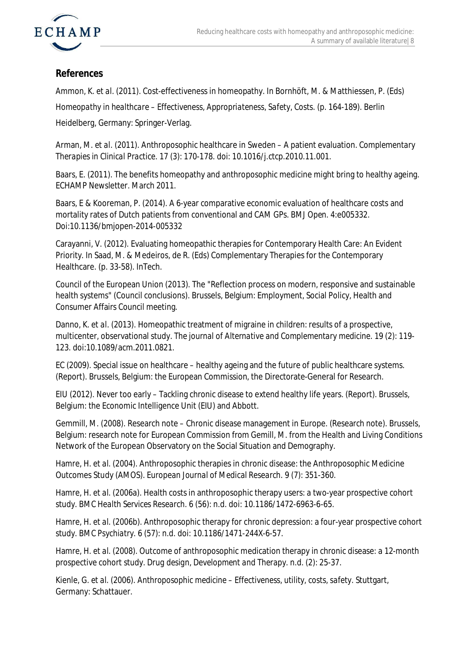



# **References**

Ammon, K. *et al.* (2011). Cost-effectiveness in homeopathy. In Bornhöft, M. & Matthiessen, P. (Eds)

*Homeopathy in healthcare – Effectiveness, Appropriateness, Safety, Costs.* (p. 164-189). Berlin

Heidelberg, Germany: Springer-Verlag.

Arman, M. *et al.* (2011). Anthroposophic healthcare in Sweden – A patient evaluation. *Complementary Therapies in Clinical Practice.* 17 (3): 170-178. doi: 10.1016/j.ctcp.2010.11.001.

Baars, E. (2011). The benefits homeopathy and anthroposophic medicine might bring to healthy ageing. ECHAMP Newsletter. March 2011.

Baars, E & Kooreman, P. (2014). A 6-year comparative economic evaluation of healthcare costs and mortality rates of Dutch patients from conventional and CAM GPs. *BMJ Open.* 4:e005332. Doi:10.1136/bmjopen-2014-005332

Carayanni, V. (2012). Evaluating homeopathic therapies for Contemporary Health Care: An Evident Priority. In Saad, M. & Medeiros, de R. (Eds) Complementary Therapies for the Contemporary Healthcare. (p. 33-58). InTech.

Council of the European Union (2013). The "Reflection process on modern, responsive and sustainable health systems" (Council conclusions). Brussels, Belgium: Employment, Social Policy, Health and Consumer Affairs Council meeting.

Danno, K. *et al.* (2013). Homeopathic treatment of migraine in children: results of a prospective, multicenter, observational study. *The journal of Alternative and Complementary medicine*. 19 (2): 119- 123. doi:10.1089/acm.2011.0821.

EC (2009). Special issue on healthcare – healthy ageing and the future of public healthcare systems. (Report). Brussels, Belgium: the European Commission, the Directorate-General for Research.

EIU (2012). Never too early – Tackling chronic disease to extend healthy life years. (Report). Brussels, Belgium: the Economic Intelligence Unit (EIU) and Abbott.

Gemmill, M. (2008). Research note – Chronic disease management in Europe. (Research note). Brussels, Belgium: research note for European Commission from Gemill, M. from the Health and Living Conditions Network of the European Observatory on the Social Situation and Demography.

Hamre, H. *et al.* (2004). Anthroposophic therapies in chronic disease: the Anthroposophic Medicine Outcomes Study (AMOS). *European Journal of Medical Research.* 9 (7): 351-360.

Hamre, H. *et al.* (2006a). Health costs in anthroposophic therapy users: a two-year prospective cohort study. *BMC Health Services Research.* 6 (56): n.d. doi: 10.1186/1472-6963-6-65.

Hamre, H. *et al.* (2006b). Anthroposophic therapy for chronic depression: a four-year prospective cohort study. *BMC Psychiatry.* 6 (57): n.d. doi: 10.1186/1471-244X-6-57.

Hamre, H. *et al.* (2008). Outcome of anthroposophic medication therapy in chronic disease: a 12-month prospective cohort study. *Drug design, Development and Therapy.* n.d*. (2)*: 25-37.

Kienle, G. *et al.* (2006). *Anthroposophic medicine – Effectiveness, utility, costs, safety*. Stuttgart, Germany: Schattauer.